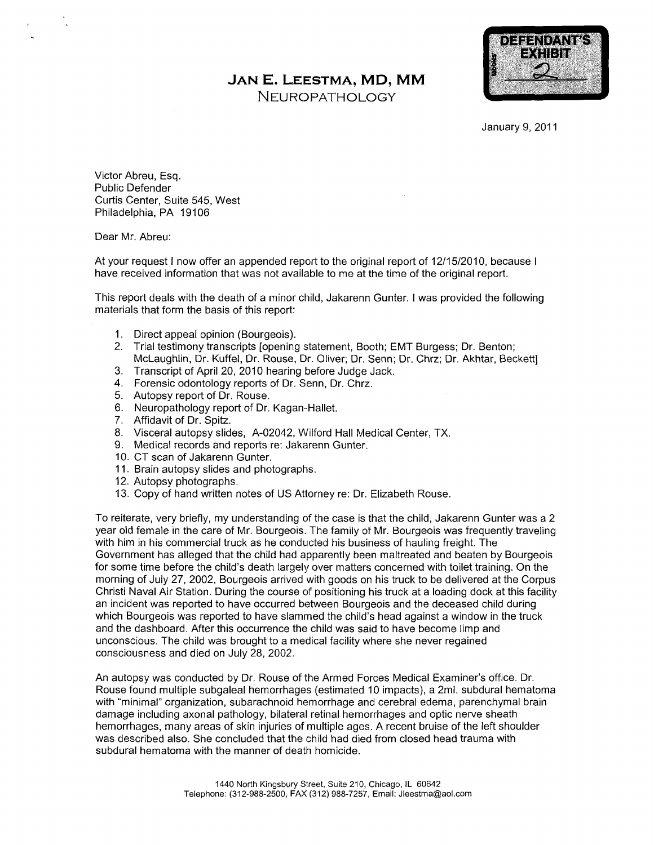## JAN E. LEESTMA, MD, MM

NEUROPATHOLOGY



January 9, 2011

Victor Abreu, Esq. Public Defender Curtis Center, Suite 545, West Philadelphia, PA 19106

Dear Mr. Abreu:

At your request I now offer an appended report to the original report of 12/15/2010, because I have received information that was not available to me at the time of the original report

This report deals with the death of a minor child, Jakarenn Gunter. I was provided the following materials that form the basis of this report

- 1. Direct appeal opinion (Bourgeois).
- 2. Trial testimony transcripts [opening statement, Booth; EMT Burgess; Dr. Benton; McLaughlin, Dr. Kuffel, Dr. Rouse, Dr. Oliver; Dr. Senn; Dr. Chrz; Dr. Akhtar, Beckett]
- 3. Transcript of April 20, 2010 hearing before Judge Jack.
- 4. Forensic odontology reports of Dr. Senn, Dr. Chrz.
- 5. Autopsy report of Dr. Rouse.
- 6. Neuropathology report of Dr. Kagan-Hallet.
- 7. Affidavit of Dr. Spitz.
- 8. Visceral autopsy slides, A-02042, Wilford Hall Medical Center, TX.
- 9. Medical records and reports re: Jakarenn Gunter.
- 10. CT scan of Jakarenn Gunter.
- 11. Brain autopsy slides and photographs.
- 12. Autopsy photographs.
- 13. Copy of hand written notes of US Attorney re: Dr. Elizabeth Rouse.

To reiterate, very briefly, my understanding of the case is that the child, Jakarenn Gunter was a 2 year old female in the care of Mr. Bourgeois. The family of Mr. Bourgeois was frequently traveling with him in his commercial truck as he conducted his business of hauling freight. The Government has alleged that the child had apparently been maltreated and beaten by Bourgeois for some time before the child's death largely over matters concerned with toilet training. On the morning of July 27, 2002, Bourgeois arrived with goods on his truck to be delivered at the Corpus Christi Naval Air Station. During the course of positioning his truck at a loading dock at this facility an incident was reported to have occurred between Bourgeois and the deceased child during which Bourgeois was reported to have slammed the child's head against a window in the truck and the dashboard. After this occurrence the child was said to have become limp and unconscious. The child was brought to a medical facility where she never regained consciousness and died on July 28, 2002.

An autopsy was conducted by Dr. Rouse of the Armed Forces Medical Examiner's office. Dr. Rouse found multiple subgaleal hemorrhages (estimated 10 impacts), a 2ml. subdural hematoma with "minimal" organization, subarachnoid hemorrhage and cerebral edema, parenchymal brain damage including axonal pathology, bilateral retinal hemorrhages and optic nerve sheath hemorrhages, many areas of skin injuries of multiple ages. A recent bruise of the left shoulder was described also. She concluded that the child had died from closed head trauma with subdural hematoma with the manner of death homicide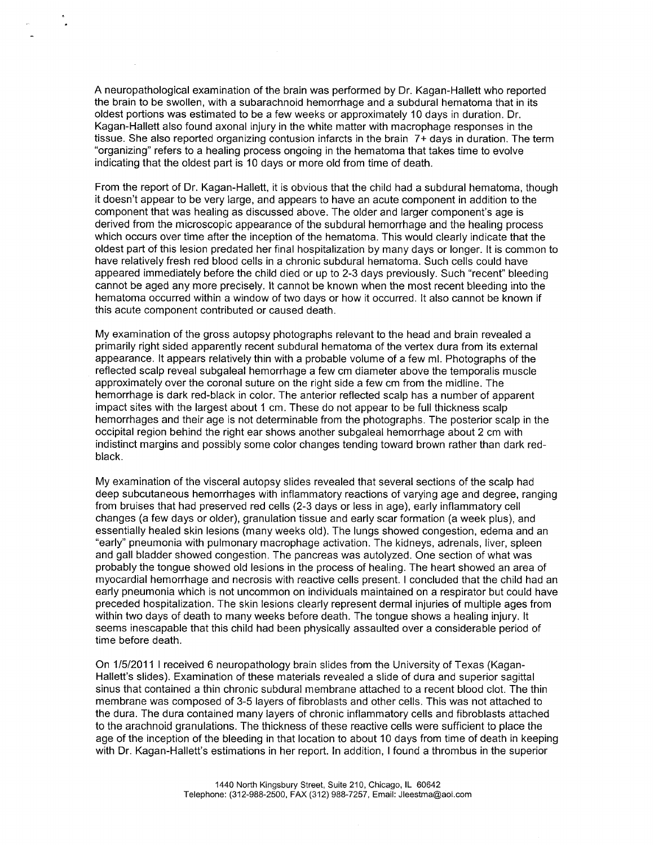A neuropathological examination of the brain was performed by Dr. Kagan-Hallett who reported the brain to be swollen, with a subarachnoid hemorrhage and a subdural hematoma that in its oldest portions was estimated to be a few weeks or approximately 10 days in duration. Dr. Kagan-Hallett also found axonal injury in the white matter with macrophage responses in the tissue. She also reported organizing contusion infarcts in the brain  $7+$  days in duration. The term "organizing" refers to a healing process ongoing in the hematoma that takes time to evolve indicating that the oldest part is <sup>10</sup> days or more old from time of death

From the report of Dr. Kagan-Hallett, it is obvious that the child had a subdural hematoma, though it doesn't appear to be very large, and appears to have an acute component in addition to the component that was healing as discussed above. The older and larger component's age is derived from the microscopic appearance of the subdural hemorrhage and the healing process which occurs over time after the inception of the hematoma. This would clearly indicate that the oldest part of this lesion predated her final hospitalization by many days or longer. It is common to have relatively fresh red blood cells in a chronic subdural hematoma. Such cells could have appeared immediately before the child died or up to 2-3 days previously. Such "recent" bleeding cannot be aged any more precisely It cannot be known when the most recent bleeding into the hematoma occurred within a window of two days or how it occurred. It also cannot be known if this acute component contributed or caused death

My examination of the gross autopsy photographs relevant to the head and brain revealed primarily right sided apparently recent subdural hematoma of the vertex dura from its external appearance. It appears relatively thin with a probable volume of a few ml. Photographs of the reflected scalp reveal subgaleal hemorrhage a few cm diameter above the temporalis muscle approximately over the coronal suture on the right side a few cm from the midline. The hemorrhage is dark red-black in color. The anterior reflected scalp has a number of apparent impact sites with the largest about 1 cm. These do not appear to be full thickness scalp hemorrhages and their age is not determinable from the photographs The posterior scalp in the occipital region behind the right ear shows another subgaleal hemorrhage about 2 cm with indistinct margins and possibly some color changes tending toward brown rather than dark redblack

My examination of the visceral autopsy slides revealed that several sections of the scalp had deep subcutaneous hemorrhages with inflammatory reactions of varying age and degree, ranging from bruises that had preserved red cells (2-3 days or less in age), early inflammatory cell changes (a few days or older), granulation tissue and early scar formation (a week plus), and essentially healed skin lesions (many weeks old). The lungs showed congestion, edema and an "early" pneumonia with pulmonary macrophage activation. The kidneys, adrenals, liver, spleen and gall bladder showed congestion. The pancreas was autolyzed. One section of what was probably the tongue showed old lesions in the process of healing. The heart showed an area of myocardial hemorrhage and necrosis with reactive cells present. I concluded that the child had an early pneumonia which is not uncommon on individuals maintained on a respirator but could have preceded hospitalization The skin lesions clearly represent dermal injuries of multiple ages from within two days of death to many weeks before death. The tongue shows a healing injury. It seems inescapable that this child had been physically assaulted over a considerable period of time before death

On 1/5/2011 I received 6 neuropathology brain slides from the University of Texas (Kagan-Hallett's slides). Examination of these materials revealed a slide of dura and superior sagittal sinus that contained a thin chronic subdural membrane attached to a recent blood clot. The thin membrane was composed of 3-5 layers of fibroblasts and other cells This was not attached to the dura The dura contained many layers of chronic inflammatory cells and fibroblasts attached to the arachnoid granulations. The thickness of these reactive cells were sufficient to place the age of the inception of the bleeding in that location to about <sup>10</sup> days from time of death in keeping with Dr. Kagan-Hallett's estimations in her report. In addition, I found a thrombus in the superior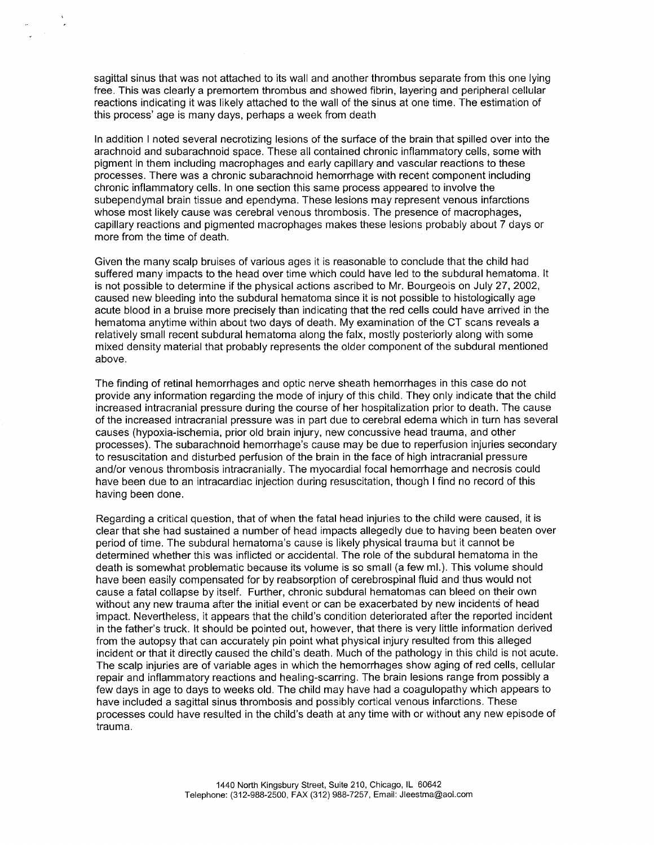sagittal sinus that was not attached to its wall and another thrombus separate from this one lying free. This was clearly a premortem thrombus and showed fibrin, layering and peripheral cellular reactions indicating it was likely attached to the wall of the sinus at one time. The estimation of this process' age is many days, perhaps a week from death

In addition I noted several necrotizing lesions of the surface of the brain that spilled over into the arachnoid and subarachnoid space. These all contained chronic inflammatory cells, some with pigment in them including macrophages and early capillary and vascular reactions to these processes. There was a chronic subarachnoid hemorrhage with recent component including chronic inflammatory cells. In one section this same process appeared to involve the subependymal brain tissue and ependyma. These lesions may represent venous infarctions whose most likely cause was cerebral venous thrombosis. The presence of macrophages, capillary reactions and pigmented macrophages makes these lesions probably about 7 days or more from the time of death

Given the many scalp bruises of various ages it is reasonable to conclude that the child had suffered many impacts to the head over time which could have led to the subdural hematoma. It is not possible to determine if the physical actions ascribed to Mr. Bourgeois on July 27, 2002, caused new bleeding into the subdural hematoma since it is not possible to histologically age acute blood in a bruise more precisely than indicating that the red cells could have arrived in the hematoma anytime within about two days of death. My examination of the CT scans reveals a relatively small recent subdural hematoma along the falx, mostly posteriorly along with some mixed density material that probably represents the older component of the subdural mentioned above

The finding of retinal hemorrhages and optic nerve sheath hemorrhages in this case do not provide any information regarding the mode of injury of this child They only indicate that the child increased intracranial pressure during the course of her hospitalization prior to death The cause of the increased intracranial pressure was in part due to cerebral edema which in turn has several causes (hypoxia-ischemia, prior old brain injury, new concussive head trauma, and other processes). The subarachnoid hemorrhage's cause may be due to reperfusion injuries secondary to resuscitation and disturbed perfusion of the brain in the face of high intracranial pressure and/or venous thrombosis intracranially. The myocardial focal hemorrhage and necrosis could have been due to an intracardiac injection during resuscitation, though I find no record of this having been done

Regarding a critical question, that of when the fatal head injuries to the child were caused, it is clear that she had sustained a number of head impacts allegedly due to having been beaten over period of time. The subdural hematoma's cause is likely physical trauma but it cannot be determined whether this was inflicted or accidental. The role of the subdural hematoma in the death is somewhat problematic because its volume is so small (a few ml.). This volume should have been easily compensated for by reabsorption of cerebrospinal fluid and thus would not cause a fatal collapse by itself. Further, chronic subdural hematomas can bleed on their own without any new trauma after the initial event or can be exacerbated by new incidents of head impact. Nevertheless, it appears that the child's condition deteriorated after the reported incident in the father's truck. It should be pointed out, however, that there is very little information derived from the autopsy that can accurately pin point what physical injury resulted from this alleged incident or that it directly caused the child's death. Much of the pathology in this child is not acute. The scalp injuries are of variable ages in which the hemorrhages show aging of red cells, cellular repair and inflammatory reactions and healing-scarring. The brain lesions range from possibly a few days in age to days to weeks old. The child may have had a coagulopathy which appears to have included a sagittal sinus thrombosis and possibly cortical venous infarctions. These processes could have resulted in the child's death at any time with or without any new episode of trauma